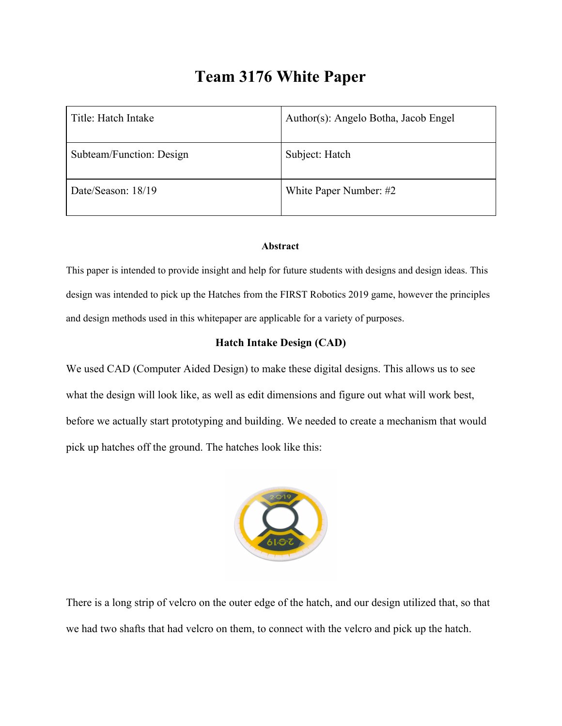## **Team 3176 White Paper**

| Title: Hatch Intake      | Author(s): Angelo Botha, Jacob Engel |
|--------------------------|--------------------------------------|
| Subteam/Function: Design | Subject: Hatch                       |
| Date/Season: 18/19       | White Paper Number: #2               |

## **Abstract**

This paper is intended to provide insight and help for future students with designs and design ideas. This design was intended to pick up the Hatches from the FIRST Robotics 2019 game, however the principles and design methods used in this whitepaper are applicable for a variety of purposes.

## **Hatch Intake Design (CAD)**

We used CAD (Computer Aided Design) to make these digital designs. This allows us to see what the design will look like, as well as edit dimensions and figure out what will work best, before we actually start prototyping and building. We needed to create a mechanism that would pick up hatches off the ground. The hatches look like this:



There is a long strip of velcro on the outer edge of the hatch, and our design utilized that, so that we had two shafts that had velcro on them, to connect with the velcro and pick up the hatch.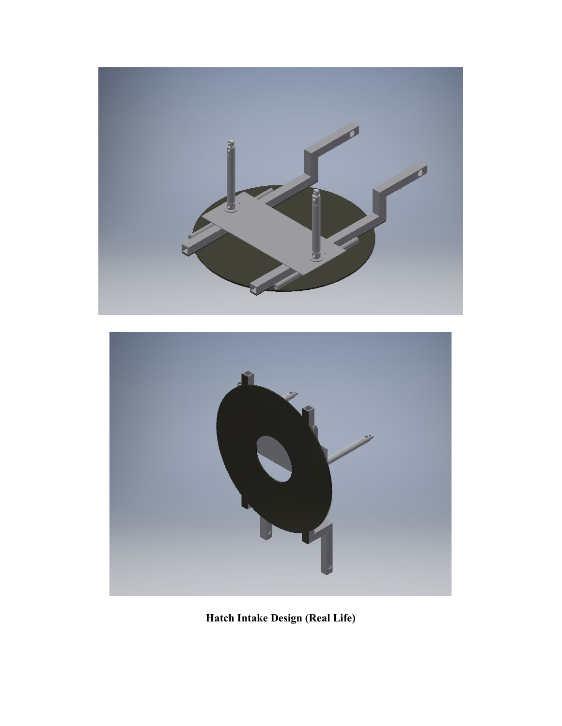

**Hatch Intake Design (Real Life)**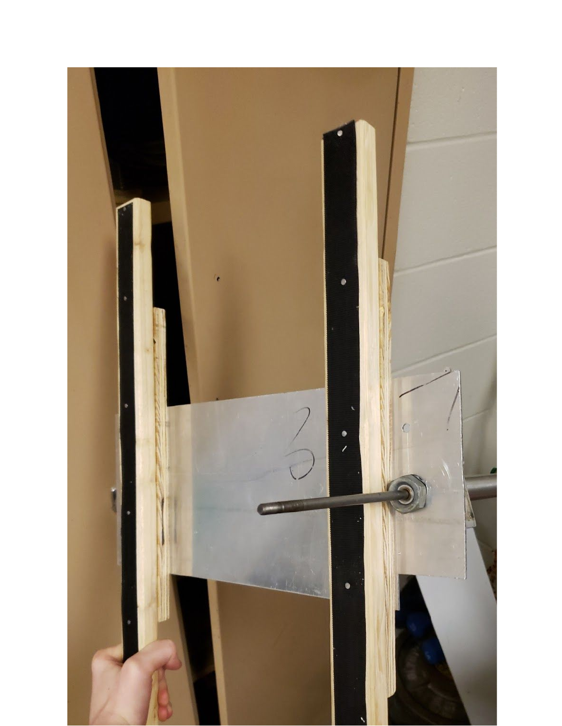